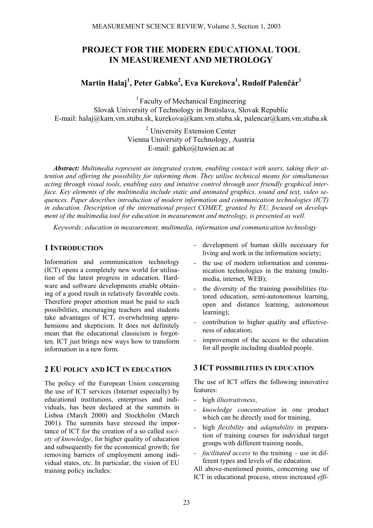## **PROJECT FOR THE MODERN EDUCATIONAL TOOL IN MEASUREMENT AND METROLOGY**

# **Martin Halaj1 , Peter Gabko<sup>2</sup> , Eva Kurekova1 , Rudolf Palenčár1**

<sup>1</sup> Faculty of Mechanical Engineering Slovak University of Technology in Bratislava, Slovak Republic E-mail: halaj@kam.vm.stuba.sk, kurekova@kam.vm.stuba.sk, palencar@kam.vm.stuba.sk

> <sup>2</sup> University Extension Center Vienna University of Technology, Austria E-mail: gabko@tuwien.ac.at

*Abstract: Multimedia represent an integrated system, enabling contact with users, taking their attention and offering the possibility for informing them. They utilise technical means for simultaneous acting through visual tools, enabling easy and intuitive control through user friendly graphical interface. Key elements of the multimedia include static and animated graphics, sound and text, video sequences. Paper describes introduction of modern information and communication technologies (ICT) in education. Description of the international project COMET, granted by EU, focused on development of the multimedia tool for education in measurement and metrology, is presented as well.* 

*Keywords: education in measurement, multimedia, information and communication technology*

#### **1 INTRODUCTION**

Information and communication technology (ICT) opens a completely new world for utilisation of the latest progress in education. Hardware and software developments enable obtaining of a good result in relatively favorable costs. Therefore proper attention must be paid to such possibilities, encouraging teachers and students take advantages of ICT, overwhelming apprehensions and skepticism. It does not definitely mean that the educational classicism is forgotten. ICT just brings new ways how to transform information in a new form.

#### **2 EU POLICY AND ICT IN EDUCATION**

The policy of the European Union concerning the use of ICT services (Internet especially) by educational institutions, enterprises and individuals, has been declared at the summits in Lisboa (March 2000) and Stockholm (March 2001). The summits have stressed the importance of ICT for the creation of a so called *society of knowledge*, for higher quality of education and subsequently for the economical growth; for removing barriers of employment among individual states, etc. In particular, the vision of EU training policy includes:

- development of human skills necessary for living and work in the information society;
- the use of modern information and communication technologies in the training (multimedia, internet, WEB);
- the diversity of the training possibilities (tutored education, semi-autonomous learning, open and distance learning, autonomous learning);
- contribution to higher quality and effectiveness of education;
- improvement of the access to the education for all people including disabled people.

### **3 ICT POSSIBILITIES IN EDUCATION**

The use of ICT offers the following innovative features:

- high *illustrativness*,
- *knowledge concentration* in one product which can be directly used for training,
- high *flexibility* and *adaptability* in preparation of training courses for individual target groups with different training needs,
- *facilitated access* to the training use in different types and levels of the education.

All above-mentioned points, concerning use of ICT in educational process, stress increased *effi-*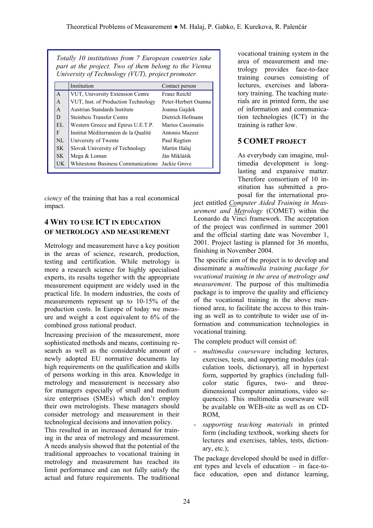|              | Institution                                     | Contact person       |
|--------------|-------------------------------------------------|----------------------|
| $\mathsf{A}$ | VUT, University Extension Centre                | Franz Reichl         |
| A            | VUT, Inst. of Production Technology             | Peter-Herbert Osanna |
| A            | Austrian Standards Institute                    | Joanna Gajdek        |
| D            | Steinbeis Transfer Centre                       | Dietrich Hofmann     |
| EL           | Western Greece and Epirus U.E.T.P.              | Marios Cassimatis    |
| F            | Institut Méditerranéen de la Qualité            | Antonio Mazzei       |
| NI           | University of Twente                            | Paul Regtien         |
| SK.          | Slovak University of Technology                 | Martin Halaj         |
| SK.          | Mega & Loman                                    | Ján Miklášik         |
| UK           | Whitestone Business Communications Jackie Grove |                      |

*ciency* of the training that has a real economical impact.

### **4 WHY TO USE ICT IN EDUCATION OF METROLOGY AND MEASUREMENT**

Metrology and measurement have a key position in the areas of science, research, production, testing and certification. While metrology is more a research science for highly specialised experts, its results together with the appropriate measurement equipment are widely used in the practical life. In modern industries, the costs of measurements represent up to 10-15% of the production costs. In Europe of today we measure and weight a cost equivalent to 6% of the combined gross national product.

Increasing precision of the measurement, more sophisticated methods and means, continuing research as well as the considerable amount of newly adopted EU normative documents lay high requirements on the qualification and skills of persons working in this area. Knowledge in metrology and measurement is necessary also for managers especially of small and medium size enterprises (SMEs) which don't employ their own metrologists. These managers should consider metrology and measurement in their technological decisions and innovation policy.

This resulted in an increased demand for training in the area of metrology and measurement. A needs analysis showed that the potential of the traditional approaches to vocational training in metrology and measurement has reached its limit performance and can not fully satisfy the actual and future requirements. The traditional

vocational training system in the area of measurement and metrology provides face-to-face training courses consisting of lectures, exercises and laboratory training. The teaching materials are in printed form, the use of information and communication technologies (ICT) in the training is rather low.

## **5 COMET PROJECT**

As everybody can imagine, multimedia development is longlasting and expansive matter. Therefore consortium of 10 institution has submitted a proposal for the international pro-

ject entitled *Computer Aided Training in Measurement and Metrology* (COMET) within the Leonardo da Vinci framework. The acceptation of the project was confirmed in summer 2001 and the official starting date was November 1, 2001. Project lasting is planned for 36 months, finishing in November 2004.

The specific aim of the project is to develop and disseminate a *multimedia training package for vocational training in the area of metrology and measurement*. The purpose of this multimedia package is to improve the quality and efficiency of the vocational training in the above mentioned area, to facilitate the access to this training as well as to contribute to wider use of information and communication technologies in vocational training.

The complete product will consist of:

- multimedia courseware including lectures, exercises, tests, and supporting modules (calculation tools, dictionary), all in hypertext form, supported by graphics (including fullcolor static figures, two- and threedimensional computer animations, video sequences). This multimedia courseware will be available on WEB-site as well as on CD-ROM,
- *supporting teaching materials* in printed form (including textbook, working sheets for lectures and exercises, tables, tests, dictionary, etc.);

The package developed should be used in different types and levels of education – in face-toface education, open and distance learning,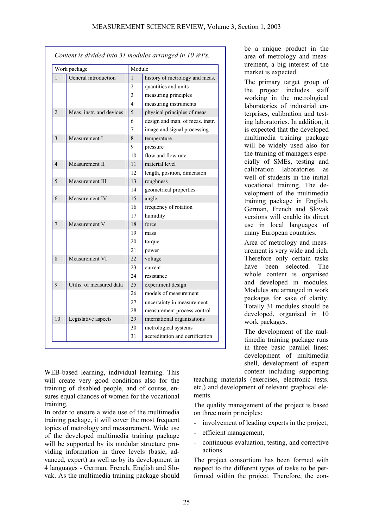| Work package             |                          | Module         |                                 |
|--------------------------|--------------------------|----------------|---------------------------------|
| $\mathbf{1}$             | General introduction     | 1              | history of metrology and meas.  |
|                          |                          | $\overline{2}$ | quantities and units            |
|                          |                          | 3              | measuring principles            |
|                          |                          | 4              | measuring instruments           |
| $\overline{2}$           | Meas, instr. and devices | 5              | physical principles of meas.    |
|                          |                          | 6              | design and man. of meas. instr. |
|                          |                          | 7              | image and signal processing     |
| 3                        | Measurement I            | 8              | temperature                     |
|                          |                          | 9              | pressure                        |
|                          |                          | 10             | flow and flow rate              |
| $\overline{\mathcal{A}}$ | Measurement II           | 11             | material level                  |
|                          |                          | 12             | length, position, dimension     |
| 5                        | Measurement III          | 13             | roughness                       |
|                          |                          | 14             | geometrical properties          |
| 6                        | Measurement IV           | 15             | angle                           |
|                          |                          | 16             | frequency of rotation           |
|                          |                          | 17             | humidity                        |
| $\overline{7}$           | Measurement V            | 18             | force                           |
|                          |                          | 19             | mass                            |
|                          |                          | 20             | torque                          |
|                          |                          | 21             | power                           |
| 8                        | Measurement VI           | 22             | voltage                         |
|                          |                          | 23             | current                         |
|                          |                          | 24             | resistance                      |
| 9                        | Utilis. of measured data | 25             | experiment design               |
|                          |                          | 26             | models of measurement           |
|                          |                          | 27             | uncertainty in measurement      |
|                          |                          | 28             | measurement process control     |
| 10                       | Legislative aspects      | 29             | international organisations     |
|                          |                          | 30             | metrological systems            |
|                          |                          | 31             | accreditation and certification |

WEB-based learning, individual learning. This will create very good conditions also for the training of disabled people, and of course, ensures equal chances of women for the vocational training.

In order to ensure a wide use of the multimedia training package, it will cover the most frequent topics of metrology and measurement. Wide use of the developed multimedia training package will be supported by its modular structure providing information in three levels (basic, advanced, expert) as well as by its development in 4 languages - German, French, English and Slovak. As the multimedia training package should

be a unique product in the area of metrology and measurement, a big interest of the market is expected.

The primary target group of the project includes staff working in the metrological laboratories of industrial enterprises, calibration and testing laboratories. In addition, it is expected that the developed multimedia training package will be widely used also for the training of managers especially of SMEs, testing and calibration laboratories as well of students in the initial vocational training. The development of the multimedia training package in English, German, French and Slovak versions will enable its direct use in local languages of many European countries.

Area of metrology and measurement is very wide and rich. Therefore only certain tasks have been selected. The whole content is organised and developed in modules. Modules are arranged in work packages for sake of clarity. Totally 31 modules should be developed, organised in 10 work packages.

The development of the multimedia training package runs in three basic parallel lines: development of multimedia shell, development of expert content including supporting

teaching materials (exercises, electronic tests. etc.) and development of relevant graphical elements.

The quality management of the project is based on three main principles:

- involvement of leading experts in the project,
- efficient management,
- continuous evaluation, testing, and corrective actions.

The project consortium has been formed with respect to the different types of tasks to be performed within the project. Therefore, the con-